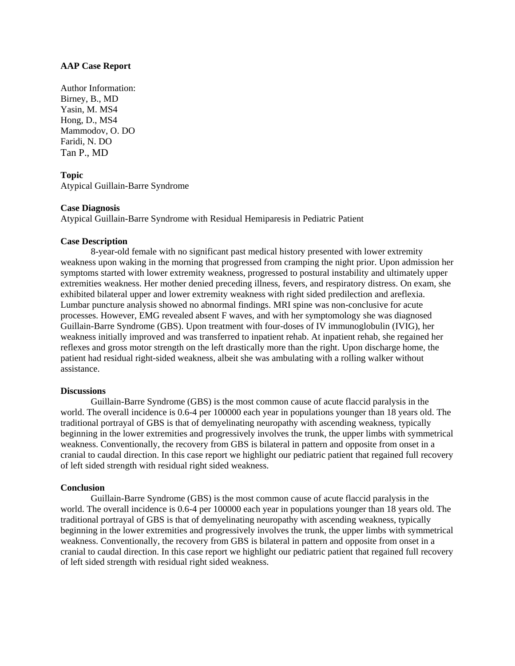### **AAP Case Report**

Author Information: Birney, B., MD Yasin, M. MS4 Hong, D., MS4 Mammodov, O. DO Faridi, N. DO Tan P., MD

# **Topic**

Atypical Guillain-Barre Syndrome

### **Case Diagnosis**

Atypical Guillain-Barre Syndrome with Residual Hemiparesis in Pediatric Patient

## **Case Description**

8-year-old female with no significant past medical history presented with lower extremity weakness upon waking in the morning that progressed from cramping the night prior. Upon admission her symptoms started with lower extremity weakness, progressed to postural instability and ultimately upper extremities weakness. Her mother denied preceding illness, fevers, and respiratory distress. On exam, she exhibited bilateral upper and lower extremity weakness with right sided predilection and areflexia. Lumbar puncture analysis showed no abnormal findings. MRI spine was non-conclusive for acute processes. However, EMG revealed absent F waves, and with her symptomology she was diagnosed Guillain-Barre Syndrome (GBS). Upon treatment with four-doses of IV immunoglobulin (IVIG), her weakness initially improved and was transferred to inpatient rehab. At inpatient rehab, she regained her reflexes and gross motor strength on the left drastically more than the right. Upon discharge home, the patient had residual right-sided weakness, albeit she was ambulating with a rolling walker without assistance.

### **Discussions**

Guillain-Barre Syndrome (GBS) is the most common cause of acute flaccid paralysis in the world. The overall incidence is 0.6-4 per 100000 each year in populations younger than 18 years old. The traditional portrayal of GBS is that of demyelinating neuropathy with ascending weakness, typically beginning in the lower extremities and progressively involves the trunk, the upper limbs with symmetrical weakness. Conventionally, the recovery from GBS is bilateral in pattern and opposite from onset in a cranial to caudal direction. In this case report we highlight our pediatric patient that regained full recovery of left sided strength with residual right sided weakness.

### **Conclusion**

Guillain-Barre Syndrome (GBS) is the most common cause of acute flaccid paralysis in the world. The overall incidence is 0.6-4 per 100000 each year in populations younger than 18 years old. The traditional portrayal of GBS is that of demyelinating neuropathy with ascending weakness, typically beginning in the lower extremities and progressively involves the trunk, the upper limbs with symmetrical weakness. Conventionally, the recovery from GBS is bilateral in pattern and opposite from onset in a cranial to caudal direction. In this case report we highlight our pediatric patient that regained full recovery of left sided strength with residual right sided weakness.